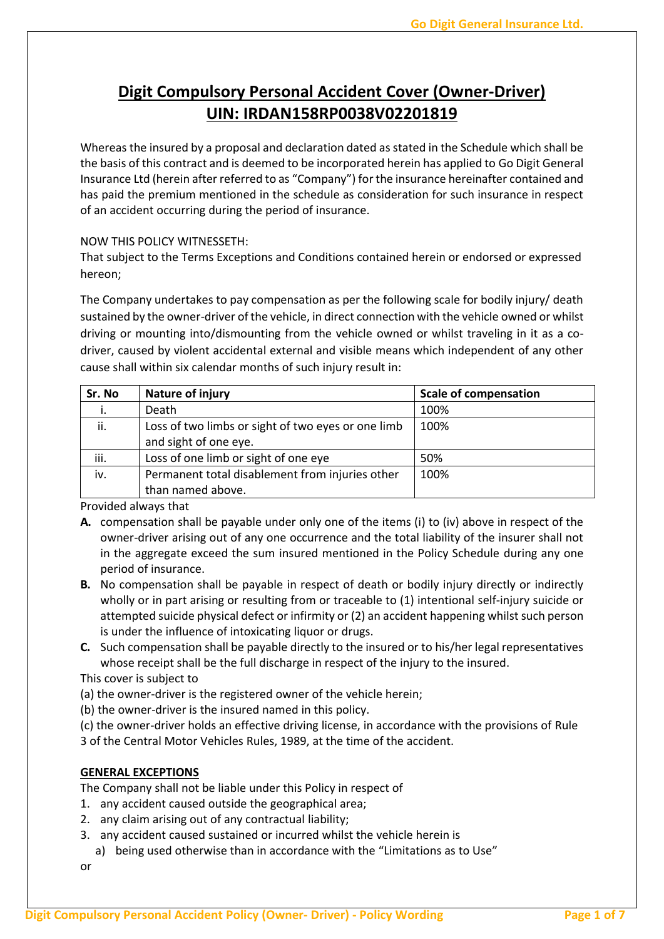# **Digit Compulsory Personal Accident Cover (Owner-Driver) UIN: IRDAN158RP0038V02201819**

Whereas the insured by a proposal and declaration dated as stated in the Schedule which shall be the basis of this contract and is deemed to be incorporated herein has applied to Go Digit General Insurance Ltd (herein after referred to as "Company") for the insurance hereinafter contained and has paid the premium mentioned in the schedule as consideration for such insurance in respect of an accident occurring during the period of insurance.

NOW THIS POLICY WITNESSETH:

That subject to the Terms Exceptions and Conditions contained herein or endorsed or expressed hereon;

The Company undertakes to pay compensation as per the following scale for bodily injury/ death sustained by the owner-driver of the vehicle, in direct connection with the vehicle owned or whilst driving or mounting into/dismounting from the vehicle owned or whilst traveling in it as a codriver, caused by violent accidental external and visible means which independent of any other cause shall within six calendar months of such injury result in:

| Sr. No | Nature of injury                                   | <b>Scale of compensation</b> |
|--------|----------------------------------------------------|------------------------------|
| i.     | Death                                              | 100%                         |
| ii.    | Loss of two limbs or sight of two eyes or one limb | 100%                         |
|        | and sight of one eye.                              |                              |
| iii.   | Loss of one limb or sight of one eye               | 50%                          |
| iv.    | Permanent total disablement from injuries other    | 100%                         |
|        | than named above.                                  |                              |

Provided always that

- **A.** compensation shall be payable under only one of the items (i) to (iv) above in respect of the owner-driver arising out of any one occurrence and the total liability of the insurer shall not in the aggregate exceed the sum insured mentioned in the Policy Schedule during any one period of insurance.
- **B.** No compensation shall be payable in respect of death or bodily injury directly or indirectly wholly or in part arising or resulting from or traceable to (1) intentional self-injury suicide or attempted suicide physical defect or infirmity or (2) an accident happening whilst such person is under the influence of intoxicating liquor or drugs.
- **C.** Such compensation shall be payable directly to the insured or to his/her legal representatives whose receipt shall be the full discharge in respect of the injury to the insured.
- This cover is subject to
- (a) the owner-driver is the registered owner of the vehicle herein;
- (b) the owner-driver is the insured named in this policy.
- (c) the owner-driver holds an effective driving license, in accordance with the provisions of Rule 3 of the Central Motor Vehicles Rules, 1989, at the time of the accident.

# **GENERAL EXCEPTIONS**

The Company shall not be liable under this Policy in respect of

- 1. any accident caused outside the geographical area;
- 2. any claim arising out of any contractual liability;
- 3. any accident caused sustained or incurred whilst the vehicle herein is
	- a) being used otherwise than in accordance with the "Limitations as to Use"

or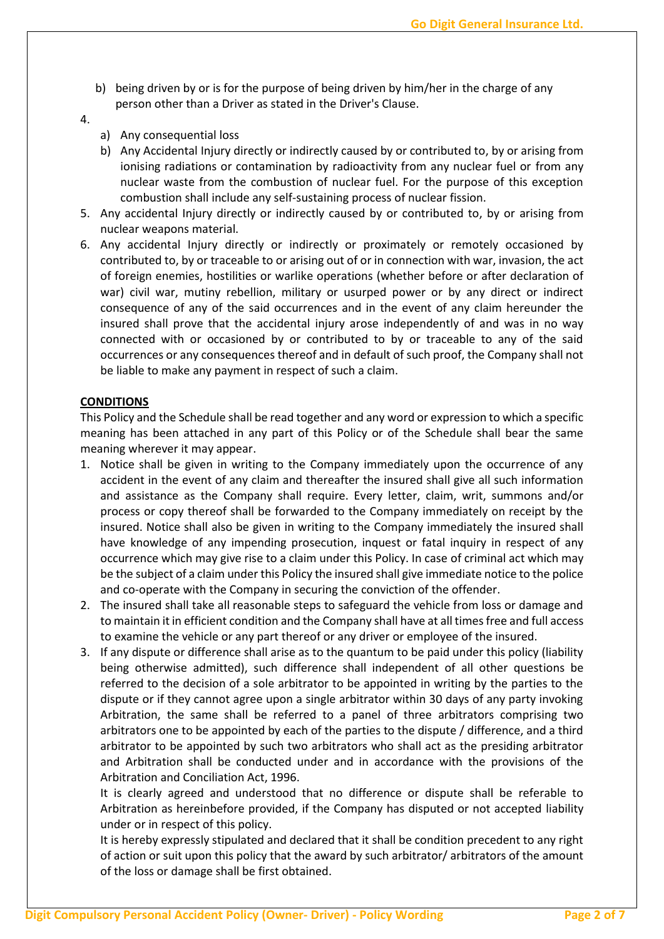- b) being driven by or is for the purpose of being driven by him/her in the charge of any person other than a Driver as stated in the Driver's Clause.
- 4.
- a) Any consequential loss
- b) Any Accidental Injury directly or indirectly caused by or contributed to, by or arising from ionising radiations or contamination by radioactivity from any nuclear fuel or from any nuclear waste from the combustion of nuclear fuel. For the purpose of this exception combustion shall include any self-sustaining process of nuclear fission.
- 5. Any accidental Injury directly or indirectly caused by or contributed to, by or arising from nuclear weapons material.
- 6. Any accidental Injury directly or indirectly or proximately or remotely occasioned by contributed to, by or traceable to or arising out of or in connection with war, invasion, the act of foreign enemies, hostilities or warlike operations (whether before or after declaration of war) civil war, mutiny rebellion, military or usurped power or by any direct or indirect consequence of any of the said occurrences and in the event of any claim hereunder the insured shall prove that the accidental injury arose independently of and was in no way connected with or occasioned by or contributed to by or traceable to any of the said occurrences or any consequences thereof and in default of such proof, the Company shall not be liable to make any payment in respect of such a claim.

## **CONDITIONS**

This Policy and the Schedule shall be read together and any word or expression to which a specific meaning has been attached in any part of this Policy or of the Schedule shall bear the same meaning wherever it may appear.

- 1. Notice shall be given in writing to the Company immediately upon the occurrence of any accident in the event of any claim and thereafter the insured shall give all such information and assistance as the Company shall require. Every letter, claim, writ, summons and/or process or copy thereof shall be forwarded to the Company immediately on receipt by the insured. Notice shall also be given in writing to the Company immediately the insured shall have knowledge of any impending prosecution, inquest or fatal inquiry in respect of any occurrence which may give rise to a claim under this Policy. In case of criminal act which may be the subject of a claim under this Policy the insured shall give immediate notice to the police and co-operate with the Company in securing the conviction of the offender.
- 2. The insured shall take all reasonable steps to safeguard the vehicle from loss or damage and to maintain it in efficient condition and the Company shall have at all times free and full access to examine the vehicle or any part thereof or any driver or employee of the insured.
- 3. If any dispute or difference shall arise as to the quantum to be paid under this policy (liability being otherwise admitted), such difference shall independent of all other questions be referred to the decision of a sole arbitrator to be appointed in writing by the parties to the dispute or if they cannot agree upon a single arbitrator within 30 days of any party invoking Arbitration, the same shall be referred to a panel of three arbitrators comprising two arbitrators one to be appointed by each of the parties to the dispute / difference, and a third arbitrator to be appointed by such two arbitrators who shall act as the presiding arbitrator and Arbitration shall be conducted under and in accordance with the provisions of the Arbitration and Conciliation Act, 1996.

It is clearly agreed and understood that no difference or dispute shall be referable to Arbitration as hereinbefore provided, if the Company has disputed or not accepted liability under or in respect of this policy.

It is hereby expressly stipulated and declared that it shall be condition precedent to any right of action or suit upon this policy that the award by such arbitrator/ arbitrators of the amount of the loss or damage shall be first obtained.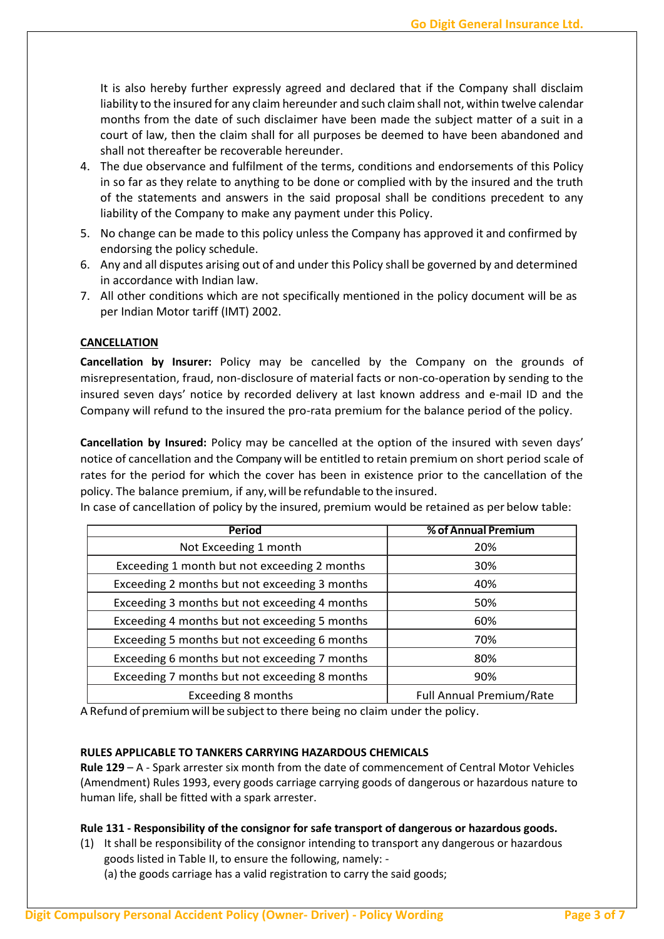It is also hereby further expressly agreed and declared that if the Company shall disclaim liability to the insured for any claim hereunder and such claim shall not, within twelve calendar months from the date of such disclaimer have been made the subject matter of a suit in a court of law, then the claim shall for all purposes be deemed to have been abandoned and shall not thereafter be recoverable hereunder.

- 4. The due observance and fulfilment of the terms, conditions and endorsements of this Policy in so far as they relate to anything to be done or complied with by the insured and the truth of the statements and answers in the said proposal shall be conditions precedent to any liability of the Company to make any payment under this Policy.
- 5. No change can be made to this policy unless the Company has approved it and confirmed by endorsing the policy schedule.
- 6. Any and all disputes arising out of and under this Policy shall be governed by and determined in accordance with Indian law.
- 7. All other conditions which are not specifically mentioned in the policy document will be as per Indian Motor tariff (IMT) 2002.

# **CANCELLATION**

**Cancellation by Insurer:** Policy may be cancelled by the Company on the grounds of misrepresentation, fraud, non-disclosure of material facts or non-co-operation by sending to the insured seven days' notice by recorded delivery at last known address and e-mail ID and the Company will refund to the insured the pro-rata premium for the balance period of the policy.

**Cancellation by Insured:** Policy may be cancelled at the option of the insured with seven days' notice of cancellation and the Company will be entitled to retain premium on short period scale of rates for the period for which the cover has been in existence prior to the cancellation of the policy. The balance premium, if any,will be refundable to the insured.

| Period                                        | % of Annual Premium             |
|-----------------------------------------------|---------------------------------|
| Not Exceeding 1 month                         | 20%                             |
| Exceeding 1 month but not exceeding 2 months  | 30%                             |
| Exceeding 2 months but not exceeding 3 months | 40%                             |
| Exceeding 3 months but not exceeding 4 months | 50%                             |
| Exceeding 4 months but not exceeding 5 months | 60%                             |
| Exceeding 5 months but not exceeding 6 months | 70%                             |
| Exceeding 6 months but not exceeding 7 months | 80%                             |
| Exceeding 7 months but not exceeding 8 months | 90%                             |
| Exceeding 8 months                            | <b>Full Annual Premium/Rate</b> |

In case of cancellation of policy by the insured, premium would be retained as per below table:

A Refund of premium will be subject to there being no claim under the policy.

#### **RULES APPLICABLE TO TANKERS CARRYING HAZARDOUS CHEMICALS**

**Rule 129** – A - Spark arrester six month from the date of commencement of Central Motor Vehicles (Amendment) Rules 1993, every goods carriage carrying goods of dangerous or hazardous nature to human life, shall be fitted with a spark arrester.

#### **Rule 131 - Responsibility of the consignor for safe transport of dangerous or hazardous goods.**

(1) It shall be responsibility of the consignor intending to transport any dangerous or hazardous goods listed in Table II, to ensure the following, namely: -

(a) the goods carriage has a valid registration to carry the said goods;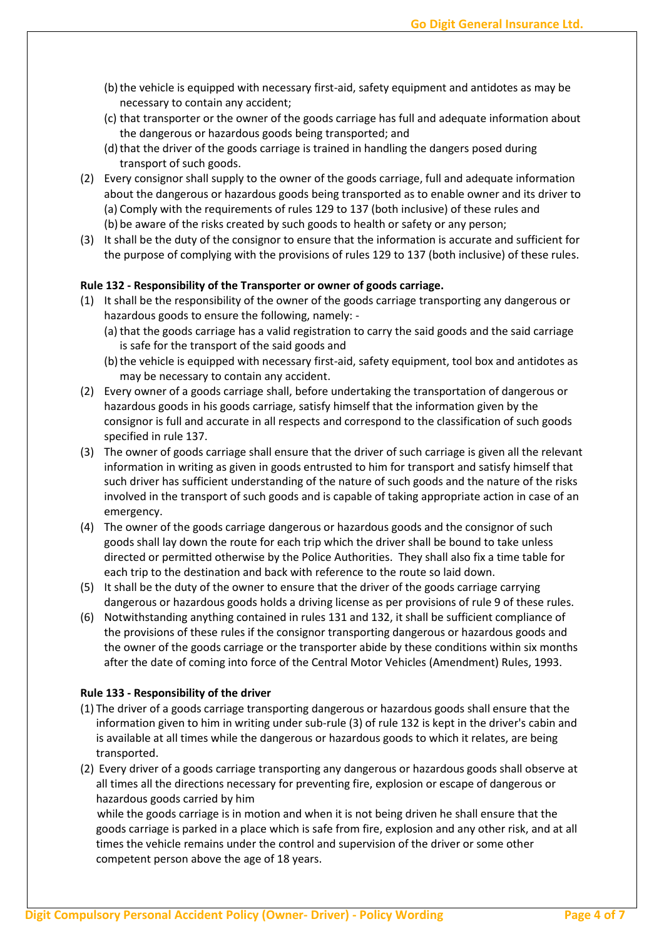- (b)the vehicle is equipped with necessary first-aid, safety equipment and antidotes as may be necessary to contain any accident;
- (c) that transporter or the owner of the goods carriage has full and adequate information about the dangerous or hazardous goods being transported; and
- (d) that the driver of the goods carriage is trained in handling the dangers posed during transport of such goods.
- (2) Every consignor shall supply to the owner of the goods carriage, full and adequate information about the dangerous or hazardous goods being transported as to enable owner and its driver to (a) Comply with the requirements of rules 129 to 137 (both inclusive) of these rules and (b) be aware of the risks created by such goods to health or safety or any person;
- (3) It shall be the duty of the consignor to ensure that the information is accurate and sufficient for the purpose of complying with the provisions of rules 129 to 137 (both inclusive) of these rules.

## **Rule 132 - Responsibility of the Transporter or owner of goods carriage.**

- (1) It shall be the responsibility of the owner of the goods carriage transporting any dangerous or hazardous goods to ensure the following, namely: -
	- (a) that the goods carriage has a valid registration to carry the said goods and the said carriage is safe for the transport of the said goods and
	- (b)the vehicle is equipped with necessary first-aid, safety equipment, tool box and antidotes as may be necessary to contain any accident.
- (2) Every owner of a goods carriage shall, before undertaking the transportation of dangerous or hazardous goods in his goods carriage, satisfy himself that the information given by the consignor is full and accurate in all respects and correspond to the classification of such goods specified in rule 137.
- (3) The owner of goods carriage shall ensure that the driver of such carriage is given all the relevant information in writing as given in goods entrusted to him for transport and satisfy himself that such driver has sufficient understanding of the nature of such goods and the nature of the risks involved in the transport of such goods and is capable of taking appropriate action in case of an emergency.
- (4) The owner of the goods carriage dangerous or hazardous goods and the consignor of such goods shall lay down the route for each trip which the driver shall be bound to take unless directed or permitted otherwise by the Police Authorities. They shall also fix a time table for each trip to the destination and back with reference to the route so laid down.
- (5) It shall be the duty of the owner to ensure that the driver of the goods carriage carrying dangerous or hazardous goods holds a driving license as per provisions of rule 9 of these rules.
- (6) Notwithstanding anything contained in rules 131 and 132, it shall be sufficient compliance of the provisions of these rules if the consignor transporting dangerous or hazardous goods and the owner of the goods carriage or the transporter abide by these conditions within six months after the date of coming into force of the Central Motor Vehicles (Amendment) Rules, 1993.

#### **Rule 133 - Responsibility of the driver**

- (1) The driver of a goods carriage transporting dangerous or hazardous goods shall ensure that the information given to him in writing under sub-rule (3) of rule 132 is kept in the driver's cabin and is available at all times while the dangerous or hazardous goods to which it relates, are being transported.
- (2) Every driver of a goods carriage transporting any dangerous or hazardous goods shall observe at all times all the directions necessary for preventing fire, explosion or escape of dangerous or hazardous goods carried by him

 while the goods carriage is in motion and when it is not being driven he shall ensure that the goods carriage is parked in a place which is safe from fire, explosion and any other risk, and at all times the vehicle remains under the control and supervision of the driver or some other competent person above the age of 18 years.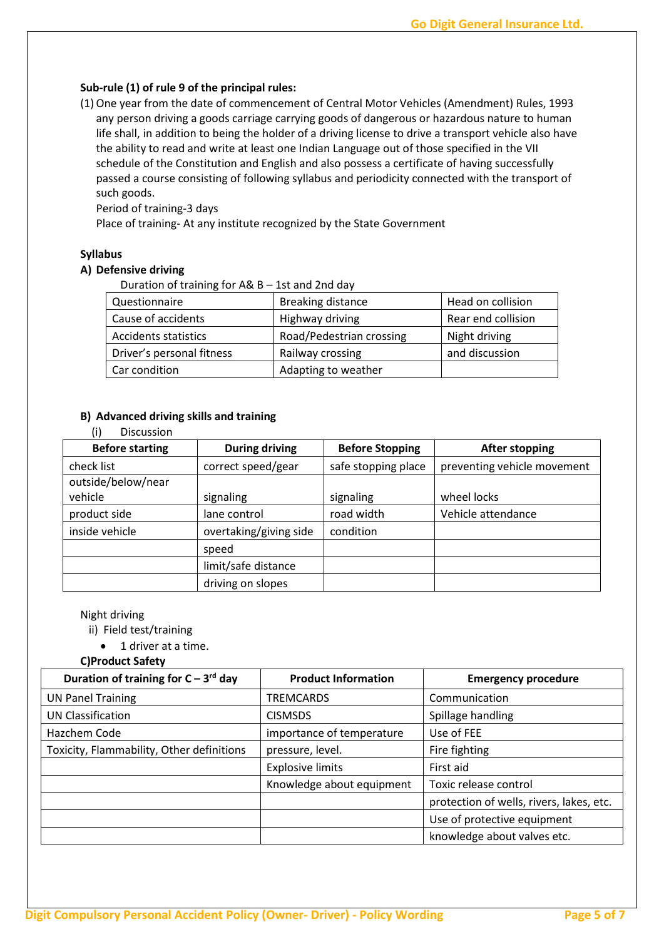# **Sub-rule (1) of rule 9 of the principal rules:**

(1) One year from the date of commencement of Central Motor Vehicles (Amendment) Rules, 1993 any person driving a goods carriage carrying goods of dangerous or hazardous nature to human life shall, in addition to being the holder of a driving license to drive a transport vehicle also have the ability to read and write at least one Indian Language out of those specified in the VII schedule of the Constitution and English and also possess a certificate of having successfully passed a course consisting of following syllabus and periodicity connected with the transport of such goods.

Period of training-3 days

Place of training- At any institute recognized by the State Government

# **Syllabus**

## **A) Defensive driving**

Duration of training for A& B – 1st and 2nd day

| Questionnaire               | Breaking distance        | Head on collision  |
|-----------------------------|--------------------------|--------------------|
| Cause of accidents          | Highway driving          | Rear end collision |
| <b>Accidents statistics</b> | Road/Pedestrian crossing | Night driving      |
| Driver's personal fitness   | Railway crossing         | and discussion     |
| Car condition               | Adapting to weather      |                    |

## **B) Advanced driving skills and training**

| (i)<br><b>Discussion</b> |                        |                        |                             |
|--------------------------|------------------------|------------------------|-----------------------------|
| <b>Before starting</b>   | <b>During driving</b>  | <b>Before Stopping</b> | <b>After stopping</b>       |
| check list               | correct speed/gear     | safe stopping place    | preventing vehicle movement |
| outside/below/near       |                        |                        |                             |
| vehicle                  | signaling              | signaling              | wheel locks                 |
| product side             | lane control           | road width             | Vehicle attendance          |
| inside vehicle           | overtaking/giving side | condition              |                             |
|                          | speed                  |                        |                             |
|                          | limit/safe distance    |                        |                             |
|                          | driving on slopes      |                        |                             |

#### Night driving

ii) Field test/training

• 1 driver at a time.

**C)Product Safety**

| Duration of training for $C - 3^{rd}$ day | <b>Product Information</b> | <b>Emergency procedure</b>               |
|-------------------------------------------|----------------------------|------------------------------------------|
| <b>UN Panel Training</b>                  | <b>TREMCARDS</b>           | Communication                            |
| <b>UN Classification</b>                  | <b>CISMSDS</b>             | Spillage handling                        |
| Hazchem Code                              | importance of temperature  | Use of FEE                               |
| Toxicity, Flammability, Other definitions | pressure, level.           | Fire fighting                            |
|                                           | <b>Explosive limits</b>    | First aid                                |
|                                           | Knowledge about equipment  | Toxic release control                    |
|                                           |                            | protection of wells, rivers, lakes, etc. |
|                                           |                            | Use of protective equipment              |
|                                           |                            | knowledge about valves etc.              |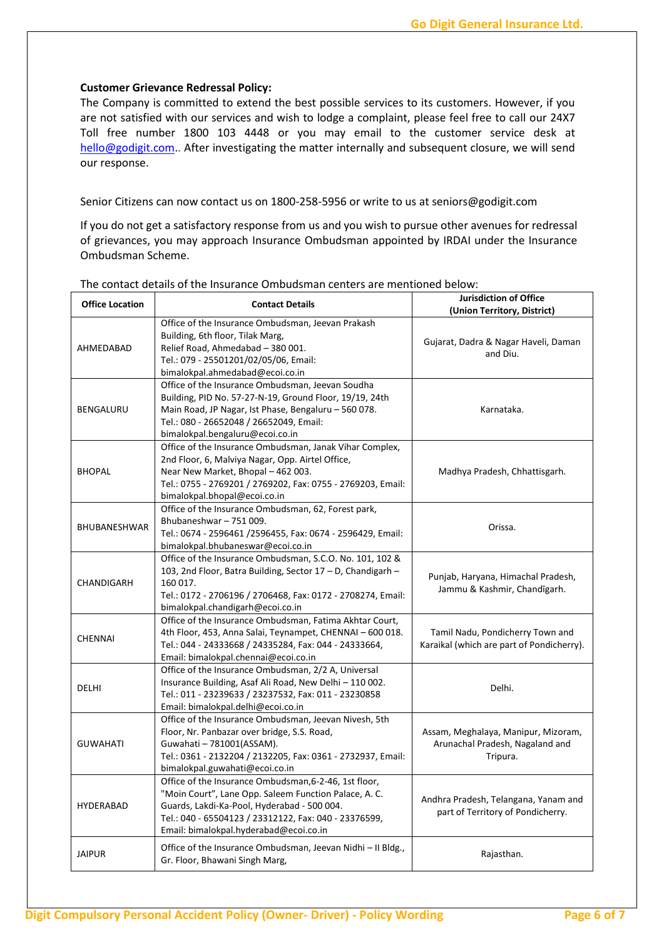#### **Customer Grievance Redressal Policy:**

The Company is committed to extend the best possible services to its customers. However, if you are not satisfied with our services and wish to lodge a complaint, please feel free to call our 24X7 Toll free number 1800 103 4448 or you may email to the customer service desk at [hello@godigit.com.](mailto:hello@godigit.com). After investigating the matter internally and subsequent closure, we will send our response.

Senior Citizens can now contact us on 1800-258-5956 or write to us at [seniors@godigit.com](mailto:seniors@godigit.com)

If you do not get a satisfactory response from us and you wish to pursue other avenues for redressal of grievances, you may approach Insurance Ombudsman appointed by IRDAI under the Insurance Ombudsman Scheme.

| <b>Office Location</b> | <b>Contact Details</b>                                                                                                                                                                                                                                           | <b>Jurisdiction of Office</b><br>(Union Territory, District)                       |
|------------------------|------------------------------------------------------------------------------------------------------------------------------------------------------------------------------------------------------------------------------------------------------------------|------------------------------------------------------------------------------------|
| AHMEDABAD              | Office of the Insurance Ombudsman, Jeevan Prakash<br>Building, 6th floor, Tilak Marg,<br>Relief Road, Ahmedabad - 380 001.<br>Tel.: 079 - 25501201/02/05/06, Email:<br>bimalokpal.ahmedabad@ecoi.co.in                                                           | Gujarat, Dadra & Nagar Haveli, Daman<br>and Diu.                                   |
| BENGALURU              | Office of the Insurance Ombudsman, Jeevan Soudha<br>Building, PID No. 57-27-N-19, Ground Floor, 19/19, 24th<br>Main Road, JP Nagar, Ist Phase, Bengaluru - 560 078.<br>Tel.: 080 - 26652048 / 26652049, Email:<br>bimalokpal.bengaluru@ecoi.co.in                | Karnataka.                                                                         |
| <b>BHOPAL</b>          | Office of the Insurance Ombudsman, Janak Vihar Complex,<br>2nd Floor, 6, Malviya Nagar, Opp. Airtel Office,<br>Near New Market, Bhopal - 462 003.<br>Tel.: 0755 - 2769201 / 2769202, Fax: 0755 - 2769203, Email:<br>bimalokpal.bhopal@ecoi.co.in                 | Madhya Pradesh, Chhattisgarh.                                                      |
| <b>BHUBANESHWAR</b>    | Office of the Insurance Ombudsman, 62, Forest park,<br>Bhubaneshwar-751009.<br>Tel.: 0674 - 2596461 /2596455, Fax: 0674 - 2596429, Email:<br>bimalokpal.bhubaneswar@ecoi.co.in                                                                                   | Orissa.                                                                            |
| CHANDIGARH             | Office of the Insurance Ombudsman, S.C.O. No. 101, 102 &<br>103, 2nd Floor, Batra Building, Sector 17 - D, Chandigarh -<br>160 017.<br>Tel.: 0172 - 2706196 / 2706468, Fax: 0172 - 2708274, Email:<br>bimalokpal.chandigarh@ecoi.co.in                           | Punjab, Haryana, Himachal Pradesh,<br>Jammu & Kashmir, Chandīgarh.                 |
| <b>CHENNAI</b>         | Office of the Insurance Ombudsman, Fatima Akhtar Court,<br>4th Floor, 453, Anna Salai, Teynampet, CHENNAI - 600 018.<br>Tel.: 044 - 24333668 / 24335284, Fax: 044 - 24333664,<br>Email: bimalokpal.chennai@ecoi.co.in                                            | Tamil Nadu, Pondicherry Town and<br>Karaikal (which are part of Pondicherry).      |
| DELHI                  | Office of the Insurance Ombudsman, 2/2 A, Universal<br>Insurance Building, Asaf Ali Road, New Delhi - 110 002.<br>Tel.: 011 - 23239633 / 23237532, Fax: 011 - 23230858<br>Email: bimalokpal.delhi@ecoi.co.in                                                     | Delhi.                                                                             |
| <b>GUWAHATI</b>        | Office of the Insurance Ombudsman, Jeevan Nivesh, 5th<br>Floor, Nr. Panbazar over bridge, S.S. Road,<br>Guwahati - 781001(ASSAM).<br>Tel.: 0361 - 2132204 / 2132205, Fax: 0361 - 2732937, Email:<br>bimalokpal.guwahati@ecoi.co.in                               | Assam, Meghalaya, Manipur, Mizoram,<br>Arunachal Pradesh, Nagaland and<br>Tripura. |
| <b>HYDERABAD</b>       | Office of the Insurance Ombudsman, 6-2-46, 1st floor,<br>"Moin Court", Lane Opp. Saleem Function Palace, A. C.<br>Guards, Lakdi-Ka-Pool, Hyderabad - 500 004.<br>Tel.: 040 - 65504123 / 23312122, Fax: 040 - 23376599,<br>Email: bimalokpal.hyderabad@ecoi.co.in | Andhra Pradesh, Telangana, Yanam and<br>part of Territory of Pondicherry.          |
| <b>JAIPUR</b>          | Office of the Insurance Ombudsman, Jeevan Nidhi - II Bldg.,<br>Gr. Floor, Bhawani Singh Marg,                                                                                                                                                                    | Rajasthan.                                                                         |

The contact details of the Insurance Ombudsman centers are mentioned below: